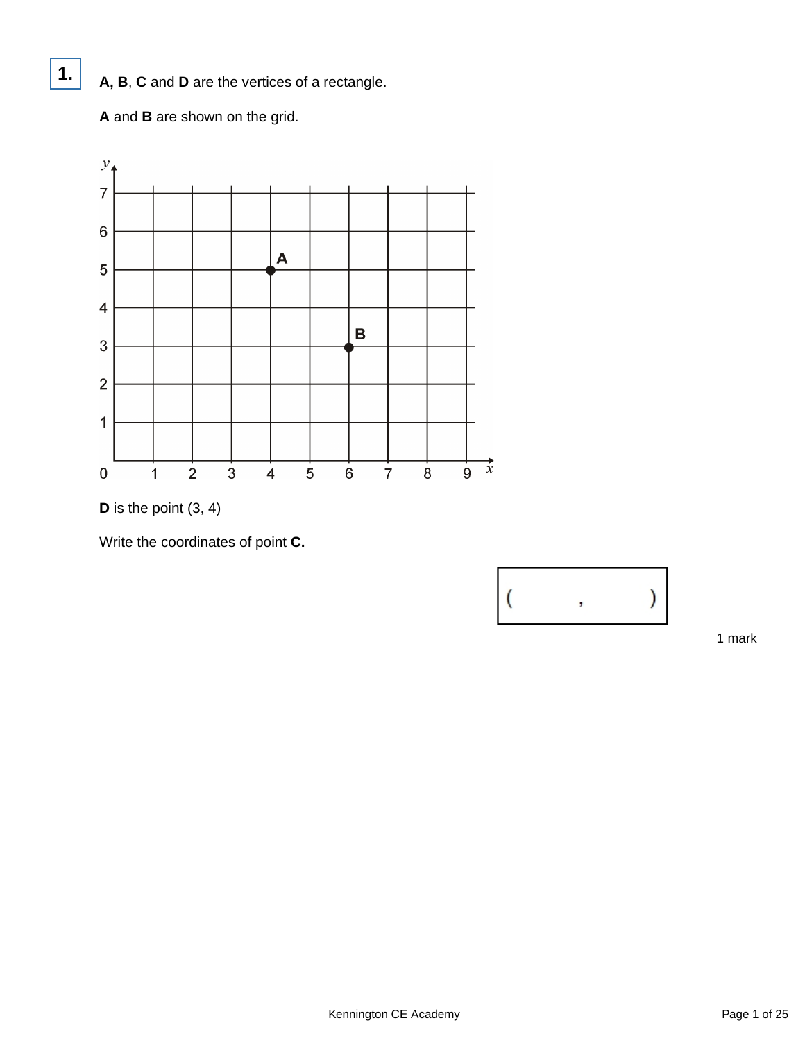**A, B**, **C** and **D** are the vertices of a rectangle.

**A** and **B** are shown on the grid.

**1.**





Write the coordinates of point **C.**

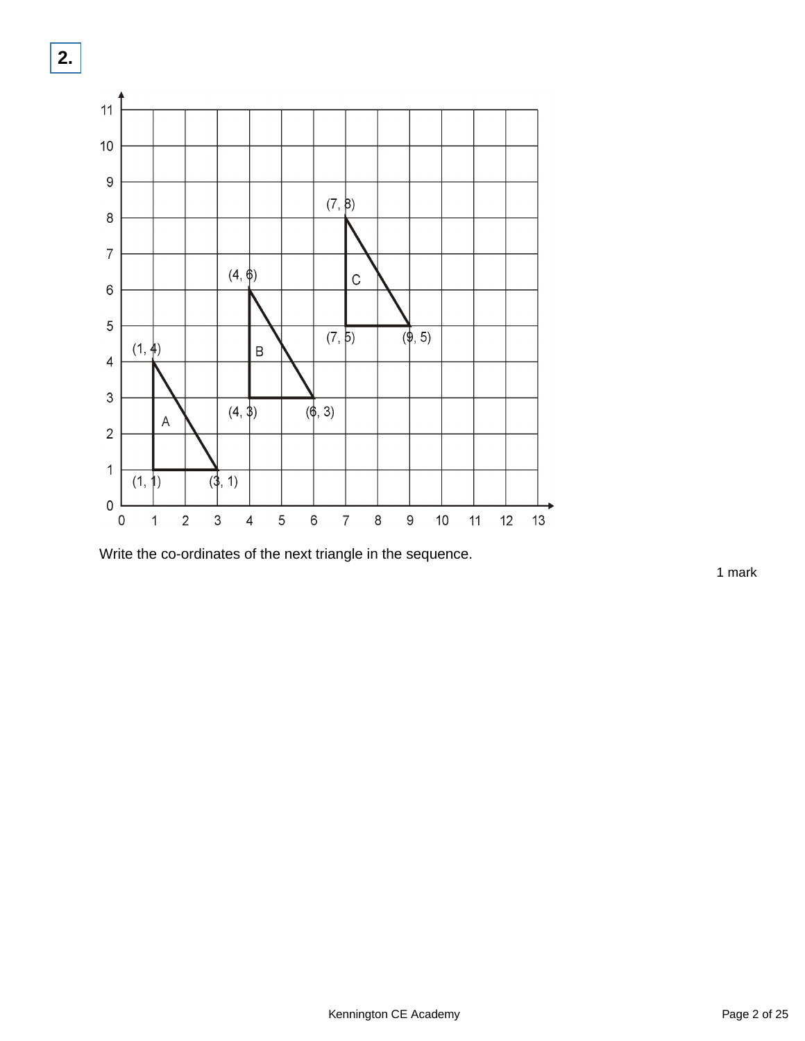

Write the co-ordinates of the next triangle in the sequence.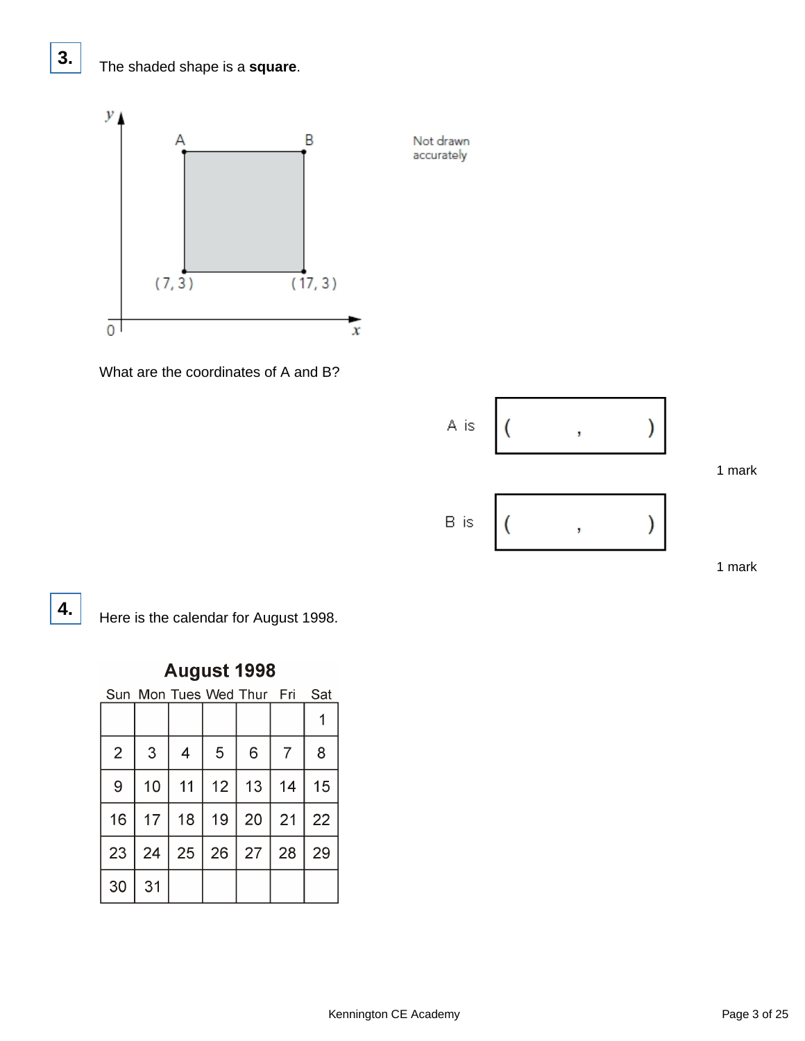## The shaded shape is a **square**.



Not drawn accurately

What are the coordinates of A and B?



1 mark

**3.**

**4.** Here is the calendar for August 1998.

## August 1998

Sun Mon Tues Wed Thur Fri Sat

| $\overline{2}$ | 3  | $\overline{4}$ | 5  | 6  | $\overline{7}$ | 8  |
|----------------|----|----------------|----|----|----------------|----|
| 9              | 10 | 11             | 12 | 13 | 14             | 15 |
| 16             | 17 | 18             | 19 | 20 | 21             | 22 |
| 23             | 24 | 25             | 26 | 27 | 28             | 29 |
| 30             | 31 |                |    |    |                |    |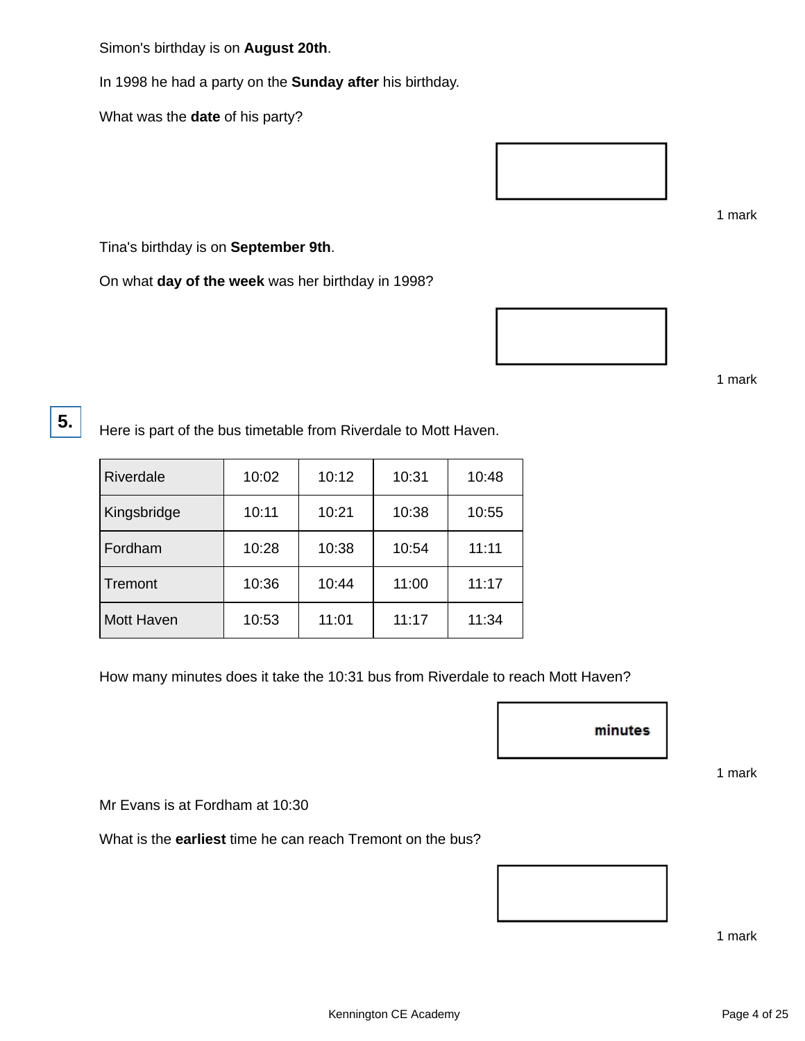Simon's birthday is on **August 20th**.

In 1998 he had a party on the **Sunday after** his birthday.

What was the **date** of his party?



1 mark

Tina's birthday is on **September 9th**.

On what **day of the week** was her birthday in 1998?



1 mark

**5.**

Here is part of the bus timetable from Riverdale to Mott Haven.

| Riverdale         | 10:02 | 10:12 | 10:31 | 10:48 |
|-------------------|-------|-------|-------|-------|
| Kingsbridge       | 10:11 | 10:21 | 10:38 | 10:55 |
| Fordham           | 10:28 | 10:38 | 10:54 | 11:11 |
| Tremont           | 10:36 | 10:44 | 11:00 | 11:17 |
| <b>Mott Haven</b> | 10:53 | 11:01 | 11:17 | 11:34 |

How many minutes does it take the 10:31 bus from Riverdale to reach Mott Haven?



1 mark

Mr Evans is at Fordham at 10:30

What is the **earliest** time he can reach Tremont on the bus?

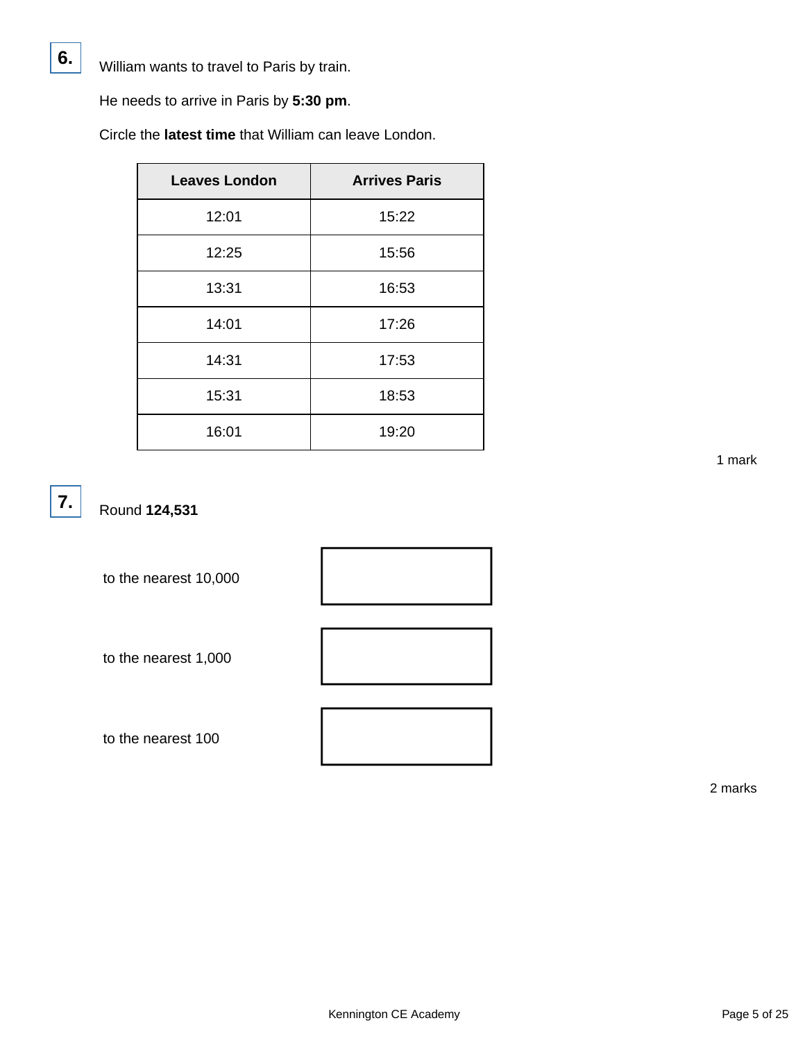He needs to arrive in Paris by **5:30 pm**.

Circle the **latest time** that William can leave London.

| <b>Leaves London</b> | <b>Arrives Paris</b> |
|----------------------|----------------------|
| 12:01                | 15:22                |
| 12:25                | 15:56                |
| 13:31                | 16:53                |
| 14:01                | 17:26                |
| 14:31                | 17:53                |
| 15:31                | 18:53                |
| 16:01                | 19:20                |

**7.**

**6.**

Round **124,531**

to the nearest 10,000

to the nearest 1,000

to the nearest 100





2 marks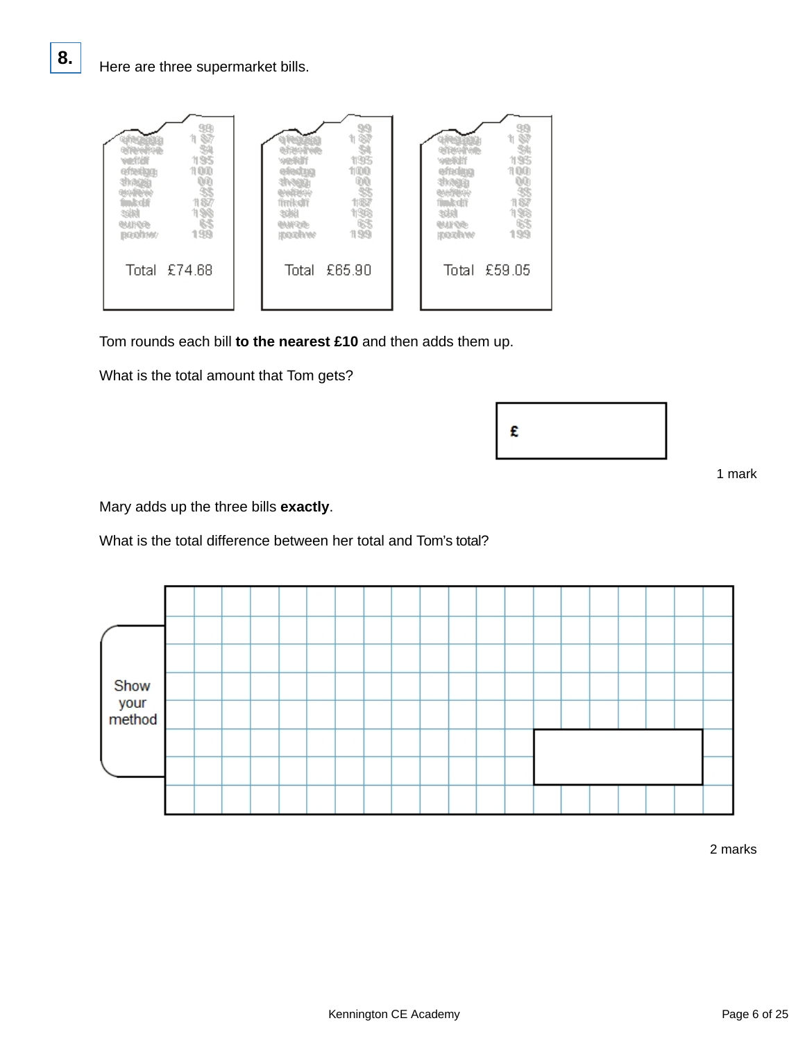

Tom rounds each bill **to the nearest £10** and then adds them up.

What is the total amount that Tom gets?

|--|

1 mark

Mary adds up the three bills **exactly**.

What is the total difference between her total and Tom's total?

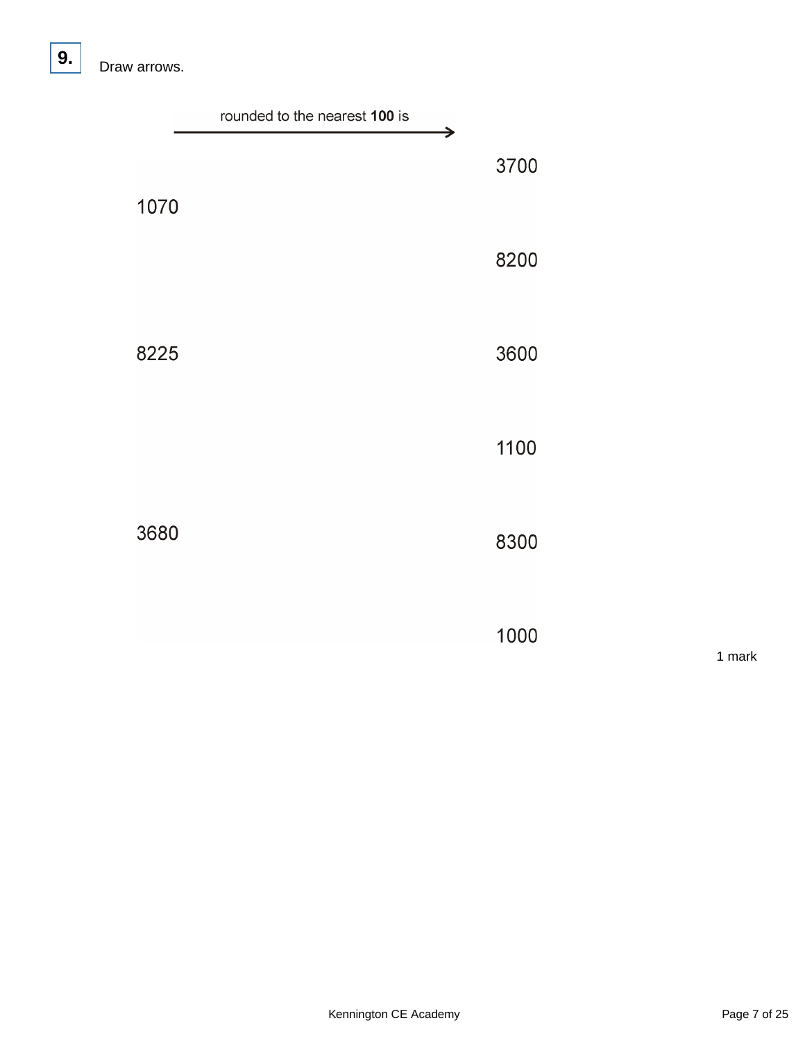|      | rounded to the nearest 100 is |           |        |
|------|-------------------------------|-----------|--------|
| 1070 |                               | →<br>3700 |        |
|      |                               | 8200      |        |
| 8225 |                               | 3600      |        |
|      |                               | 1100      |        |
| 3680 |                               | 8300      |        |
|      |                               | 1000      | 1 mark |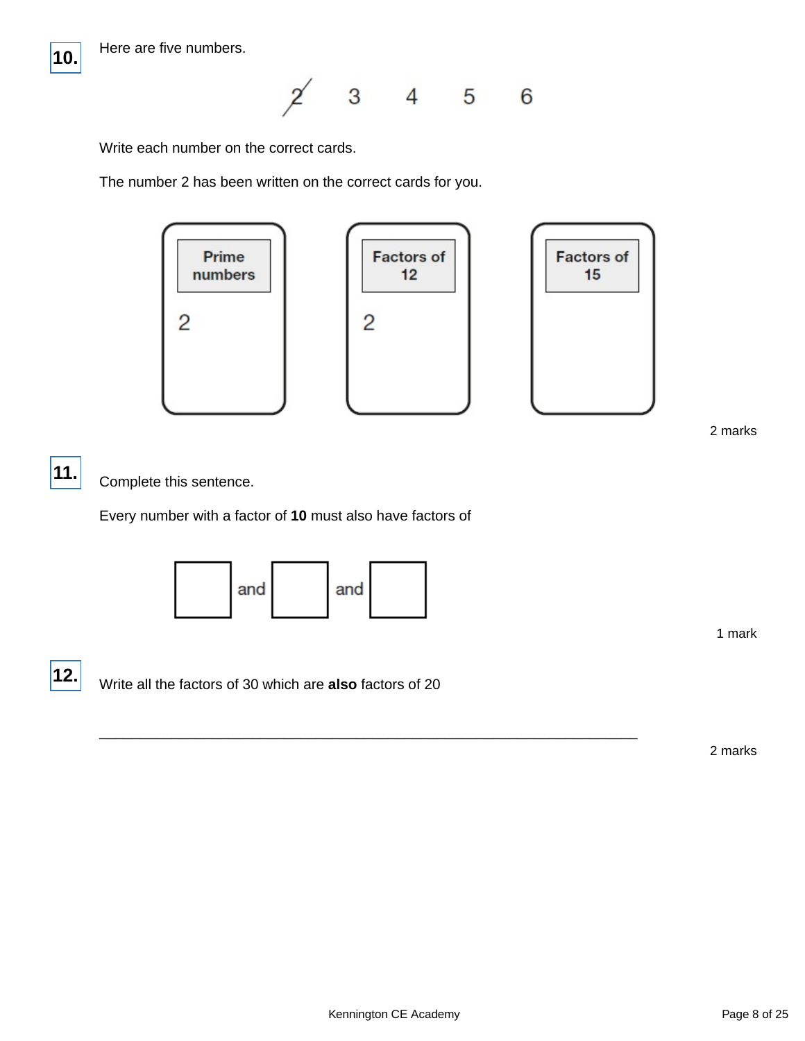

 $3 \qquad 4 \qquad 5$  $\cancel{2}$ 6

Write each number on the correct cards.

The number 2 has been written on the correct cards for you.



2 marks

**11.**

Complete this sentence.

Every number with a factor of **10** must also have factors of



1 mark

**12.**

Write all the factors of 30 which are **also** factors of 20

2 marks

\_\_\_\_\_\_\_\_\_\_\_\_\_\_\_\_\_\_\_\_\_\_\_\_\_\_\_\_\_\_\_\_\_\_\_\_\_\_\_\_\_\_\_\_\_\_\_\_\_\_\_\_\_\_\_\_\_\_\_\_\_\_\_\_\_\_\_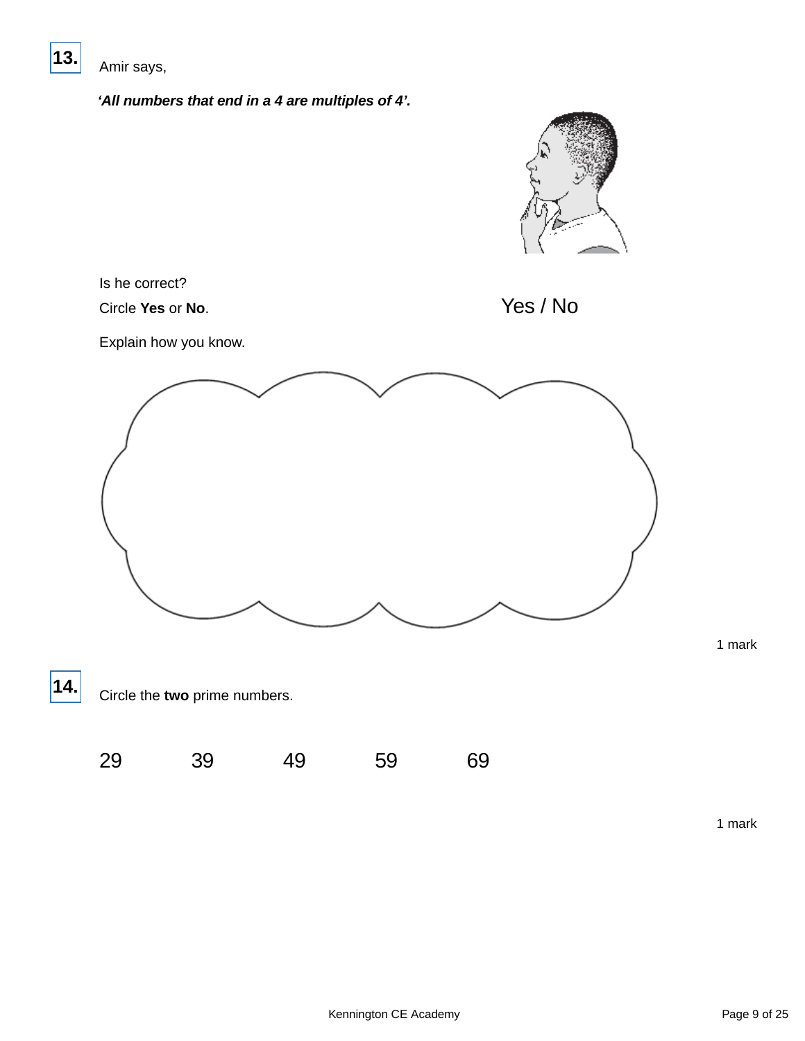

Amir says,

**'All numbers that end in a 4 are multiples of 4'.**

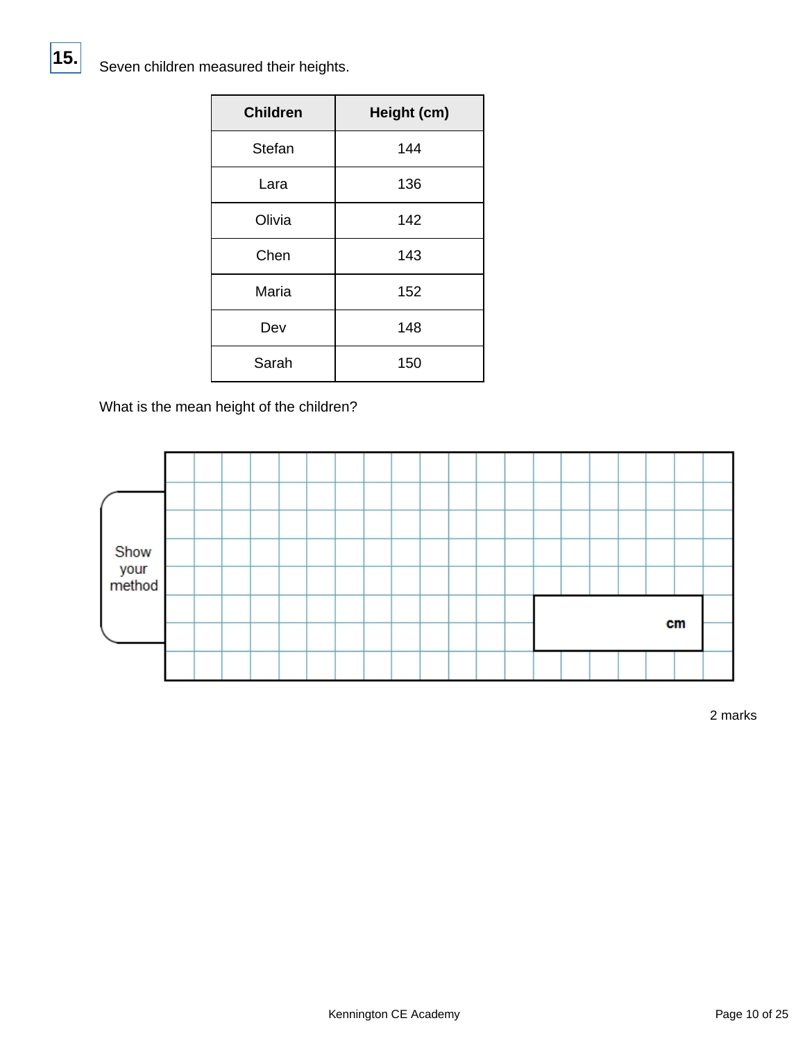Seven children measured their heights.

| <b>Children</b> | Height (cm) |  |  |
|-----------------|-------------|--|--|
| Stefan          | 144         |  |  |
| Lara            | 136         |  |  |
| Olivia          | 142         |  |  |
| Chen            | 143         |  |  |
| Maria           | 152         |  |  |
| Dev             | 148         |  |  |
| Sarah           | 150         |  |  |

What is the mean height of the children?

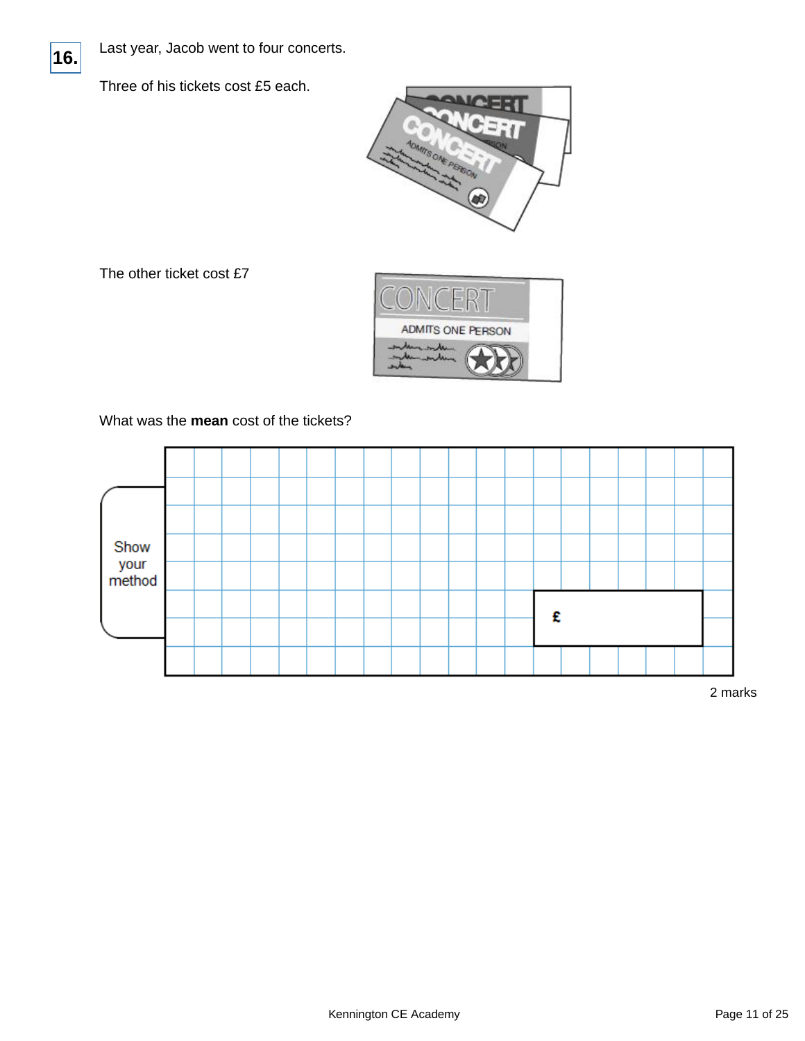

Last year, Jacob went to four concerts.

Three of his tickets cost £5 each.



The other ticket cost £7



What was the **mean** cost of the tickets?

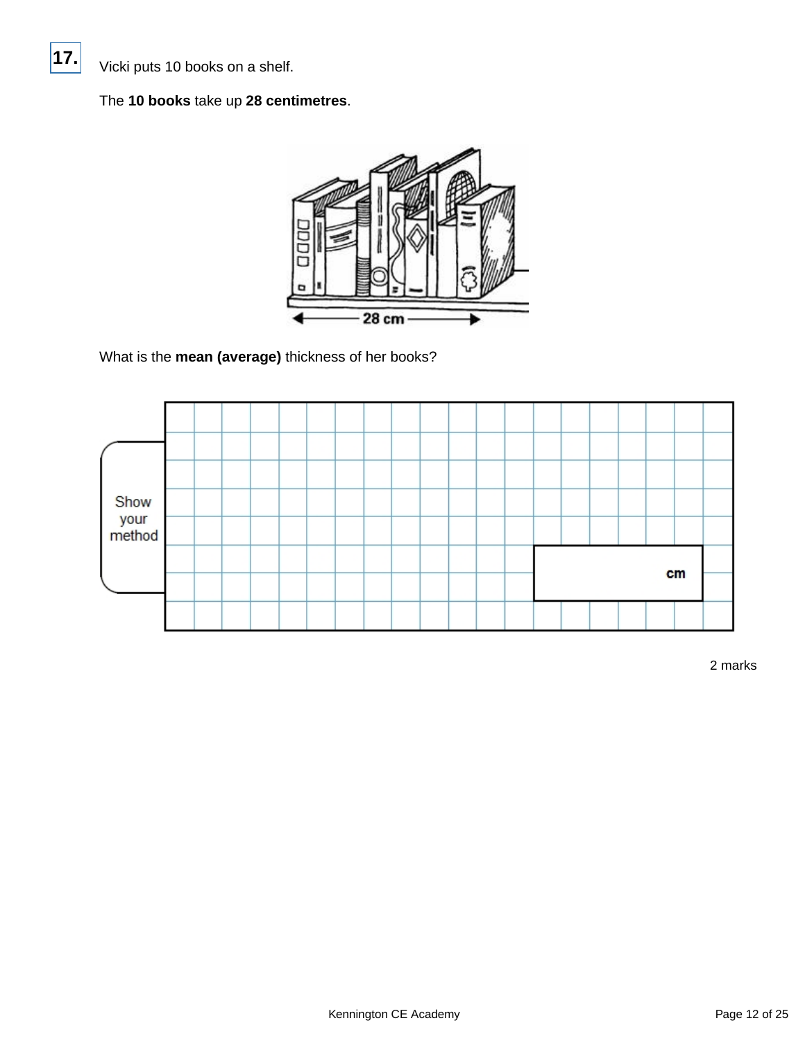Vicki puts 10 books on a shelf.

### The **10 books** take up **28 centimetres**.



What is the **mean (average)** thickness of her books?

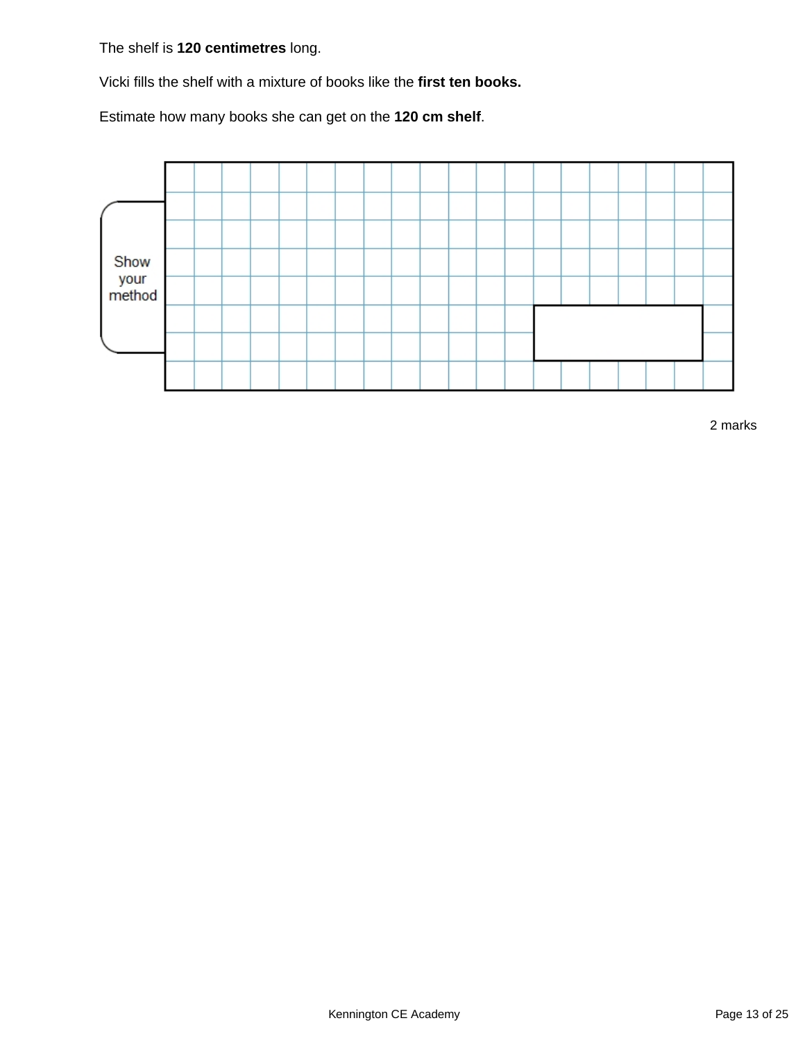The shelf is **120 centimetres** long.

Vicki fills the shelf with a mixture of books like the **first ten books.**

Estimate how many books she can get on the **120 cm shelf**.

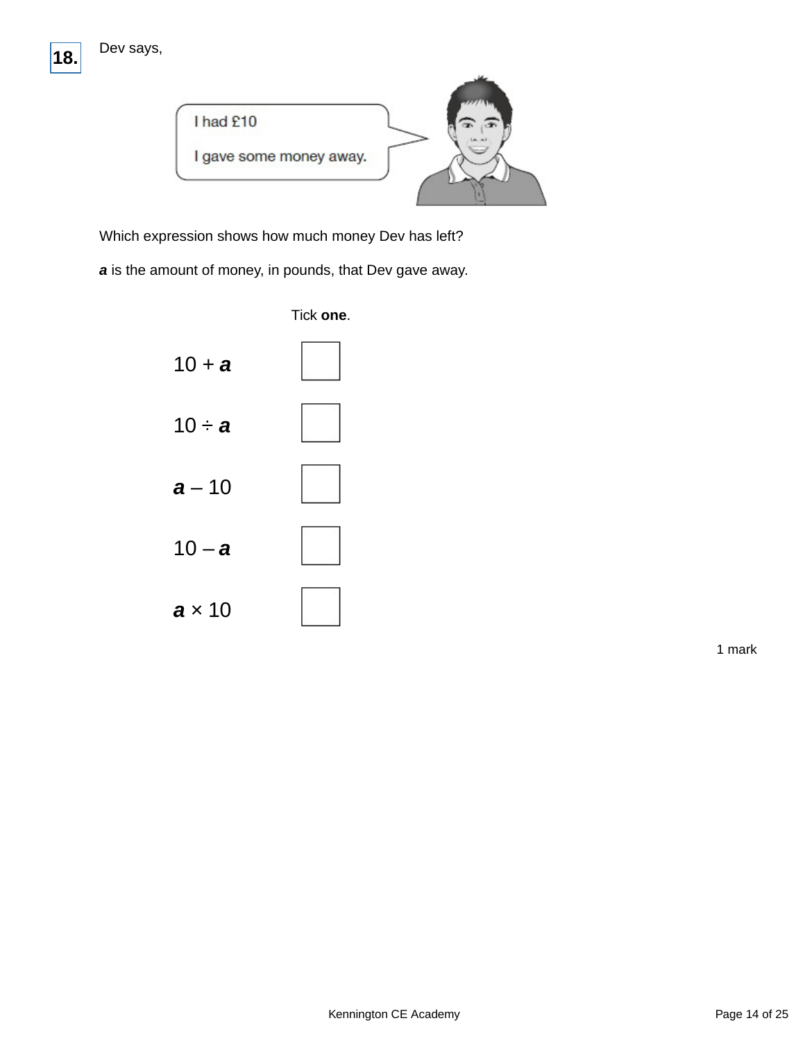



Which expression shows how much money Dev has left?

**a** is the amount of money, in pounds, that Dev gave away.



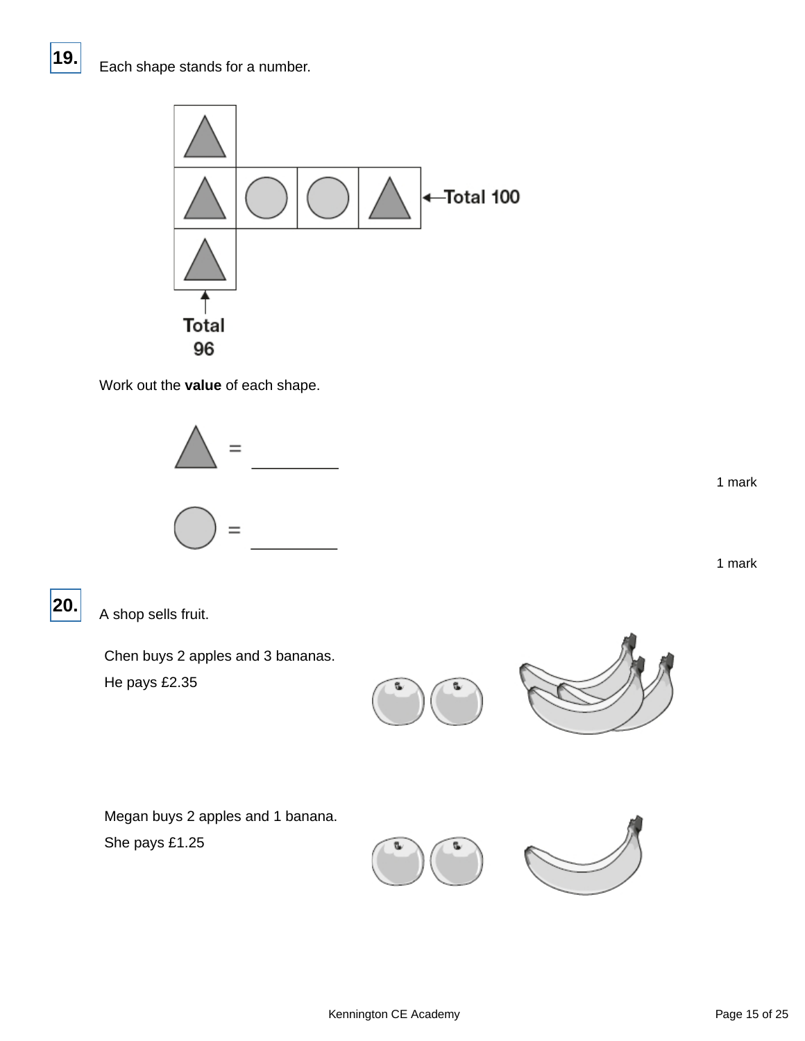

Work out the **value** of each shape.



1 mark

1 mark

A shop sells fruit.

**20.**

Chen buys 2 apples and 3 bananas. He pays £2.35





Megan buys 2 apples and 1 banana. She pays £1.25



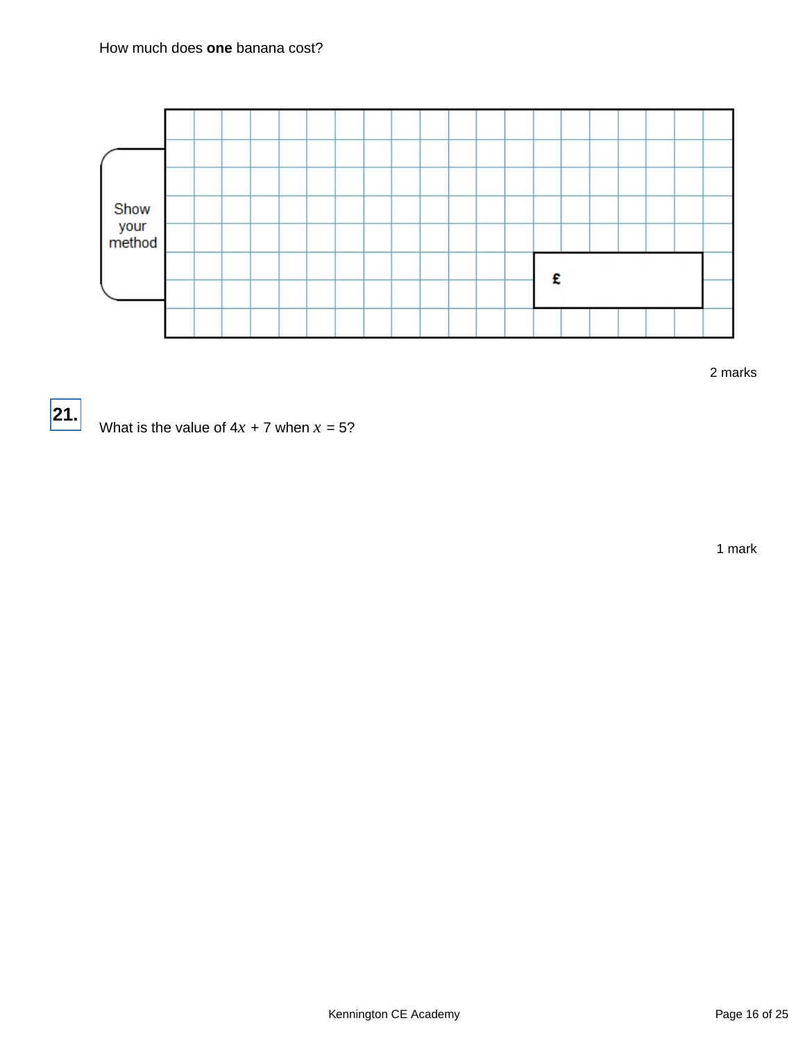

2 marks



What is the value of  $4x + 7$  when  $x = 5$ ?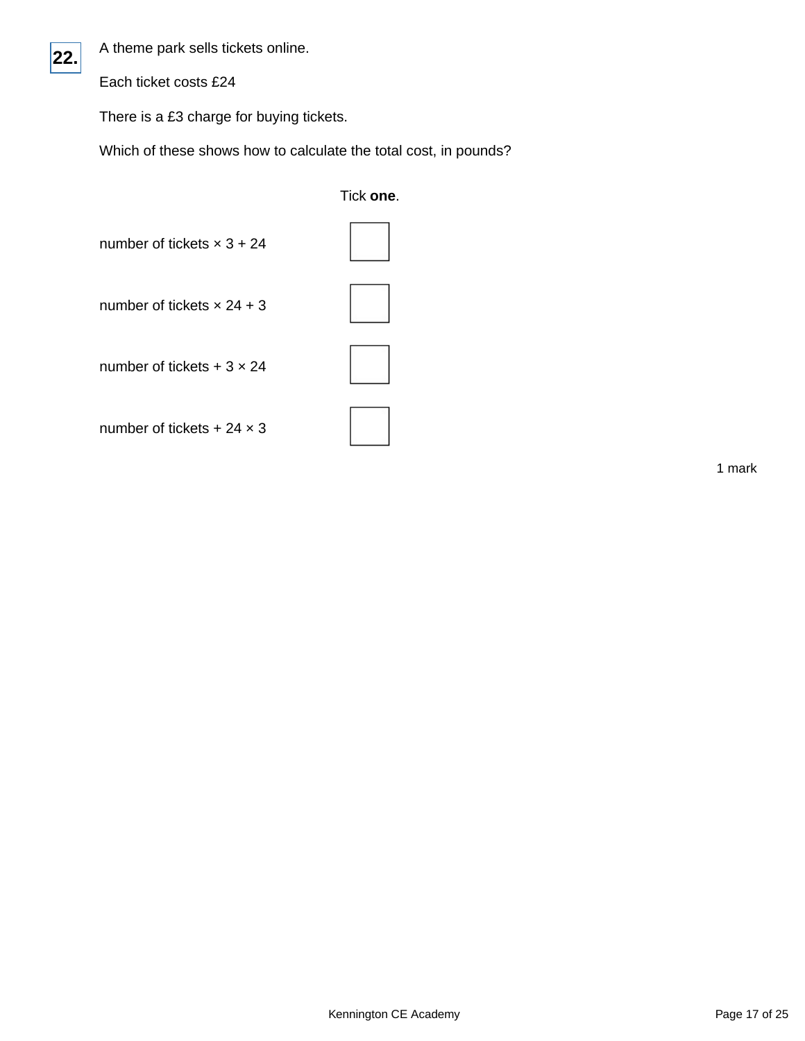A theme park sells tickets online.

Each ticket costs £24

There is a £3 charge for buying tickets.

Which of these shows how to calculate the total cost, in pounds?

|                                   | Tick one. |
|-----------------------------------|-----------|
| number of tickets $\times$ 3 + 24 |           |
| number of tickets $\times$ 24 + 3 |           |
| number of tickets $+3 \times 24$  |           |
| number of tickets + 24 $\times$ 3 |           |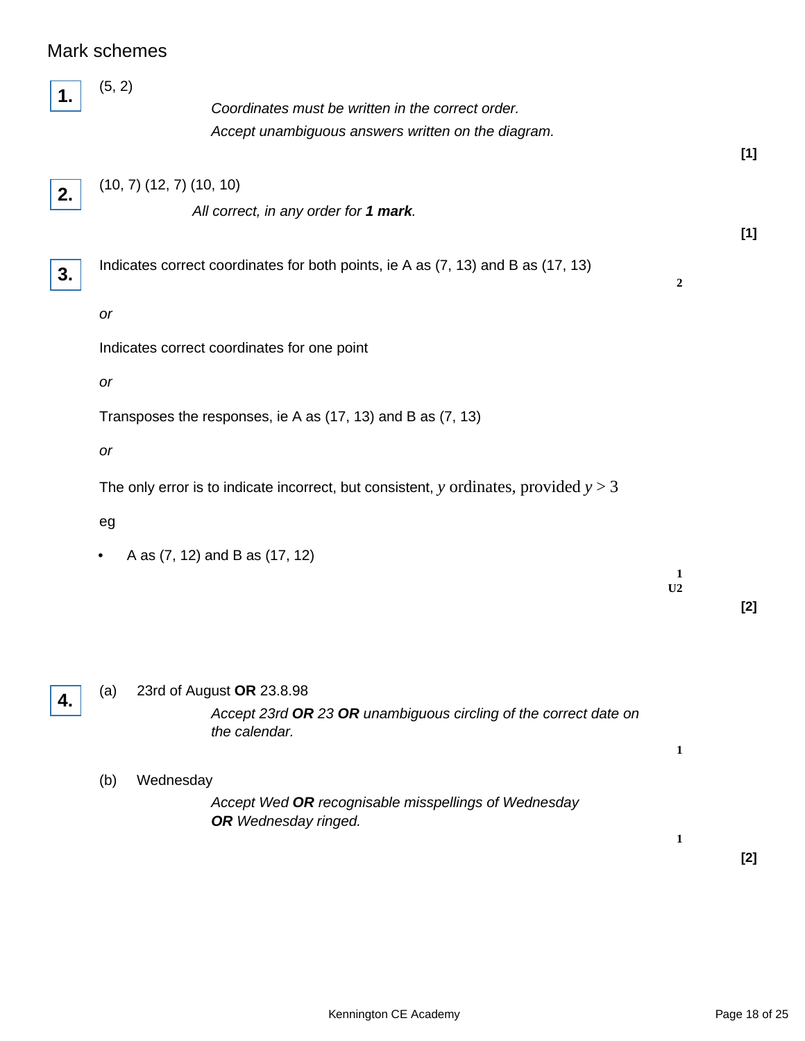# Mark schemes

|    | (5, 2)<br>Coordinates must be written in the correct order.<br>Accept unambiguous answers written on the diagram. |                  |       |
|----|-------------------------------------------------------------------------------------------------------------------|------------------|-------|
|    |                                                                                                                   |                  | $[1]$ |
| 2. | $(10, 7)$ $(12, 7)$ $(10, 10)$                                                                                    |                  |       |
|    | All correct, in any order for 1 mark.                                                                             |                  |       |
|    |                                                                                                                   |                  | $[1]$ |
| 3. | Indicates correct coordinates for both points, ie A as (7, 13) and B as (17, 13)                                  | $\boldsymbol{2}$ |       |
|    | or                                                                                                                |                  |       |
|    |                                                                                                                   |                  |       |
|    | Indicates correct coordinates for one point                                                                       |                  |       |
|    | or                                                                                                                |                  |       |
|    | Transposes the responses, ie A as (17, 13) and B as (7, 13)                                                       |                  |       |
|    | or                                                                                                                |                  |       |
|    | The only error is to indicate incorrect, but consistent, y ordinates, provided $y > 3$                            |                  |       |
|    | eg                                                                                                                |                  |       |
|    |                                                                                                                   |                  |       |
|    | A as (7, 12) and B as (17, 12)<br>٠                                                                               | 1                |       |
|    |                                                                                                                   | U2               |       |
|    |                                                                                                                   |                  | $[2]$ |
|    |                                                                                                                   |                  |       |
|    |                                                                                                                   |                  |       |
| 4. | 23rd of August OR 23.8.98<br>(a)                                                                                  |                  |       |
|    | Accept 23rd OR 23 OR unambiguous circling of the correct date on<br>the calendar.                                 |                  |       |
|    |                                                                                                                   | 1                |       |
|    | Wednesday<br>(b)                                                                                                  |                  |       |
|    | Accept Wed OR recognisable misspellings of Wednesday                                                              |                  |       |
|    | <b>OR</b> Wednesday ringed.                                                                                       |                  |       |
|    |                                                                                                                   | 1                | $[2]$ |
|    |                                                                                                                   |                  |       |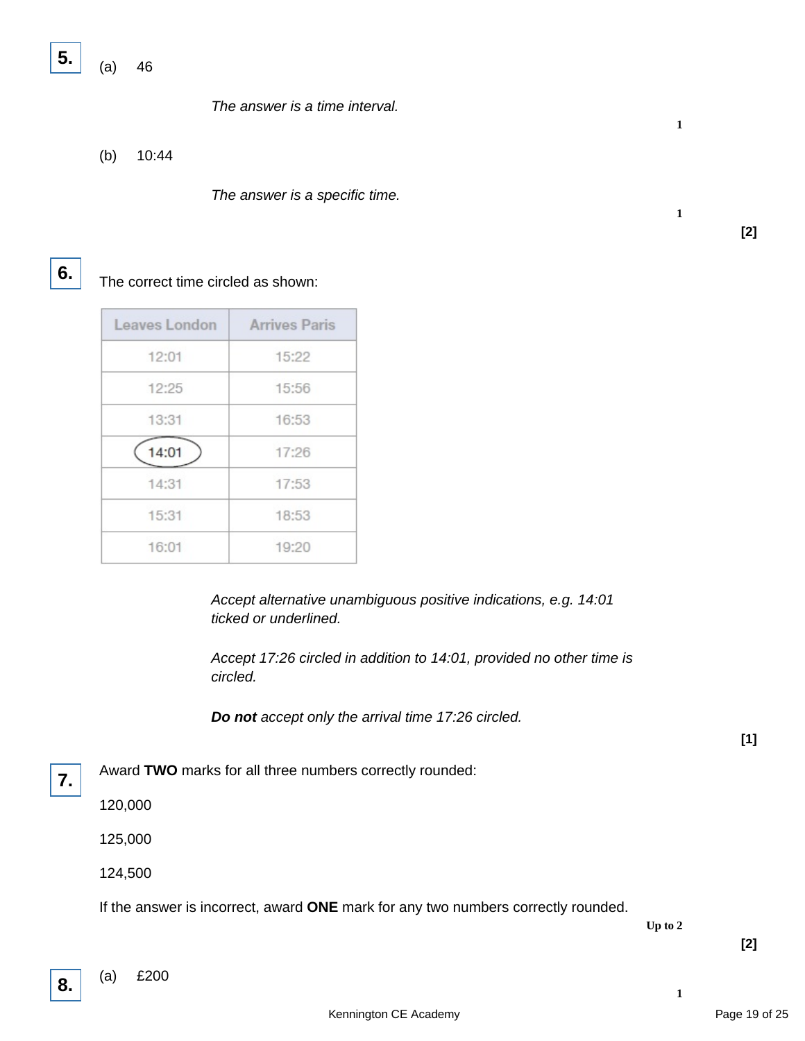**5.**

(a) 46

The answer is a time interval.

(b) 10:44

The answer is a specific time.

# **6.**

The correct time circled as shown:

| Leaves London | <b>Arrives Paris</b> |
|---------------|----------------------|
| 12:01         | 15:22                |
| 12:25         | 15:56                |
| 13:31         | 16:53                |
| 14:01         | 17:26                |
| 14:31         | 17:53                |
| 15:31         | 18:53                |
| 16:01         | 19:20                |

Accept alternative unambiguous positive indications, e.g. 14:01 ticked or underlined.

Accept 17:26 circled in addition to 14:01, provided no other time is circled.

**Do not** accept only the arrival time 17:26 circled.

**7.**

Award **TWO** marks for all three numbers correctly rounded:

120,000

125,000

124,500

If the answer is incorrect, award **ONE** mark for any two numbers correctly rounded.

**Up to 2**

**1**

**1**

**[2]**

**1**

**8.**

**[2]**

**[1]**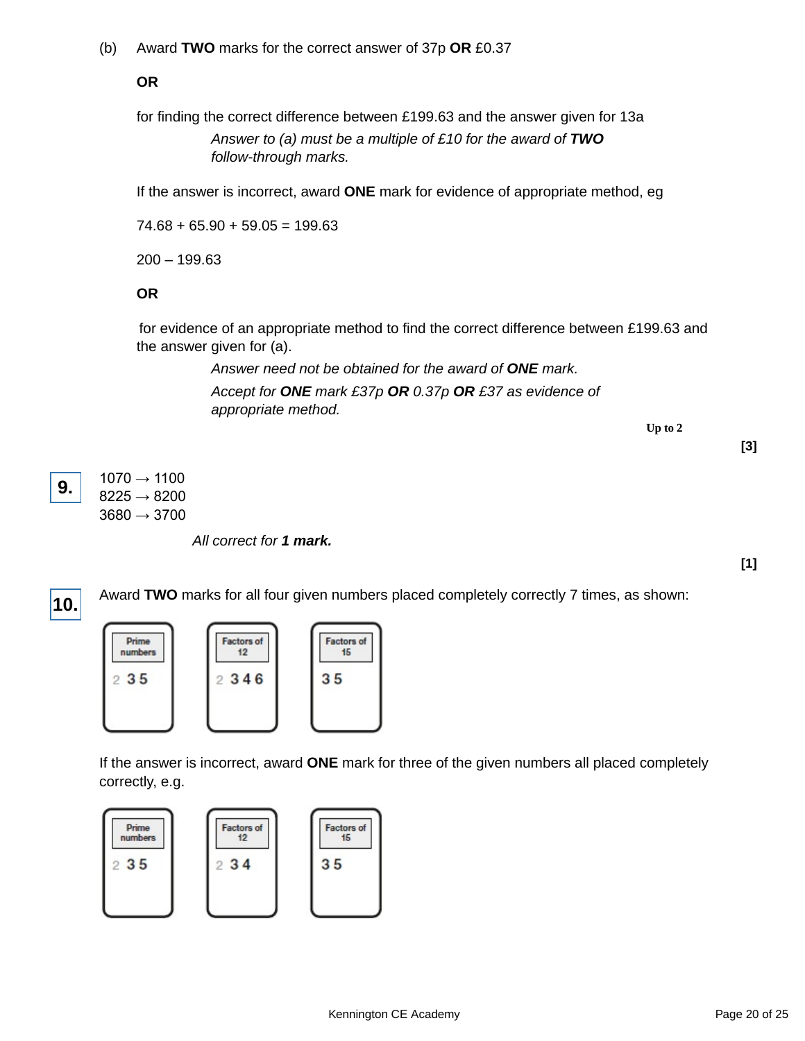(b) Award **TWO** marks for the correct answer of 37p **OR** £0.37

**OR**

for finding the correct difference between £199.63 and the answer given for 13a Answer to (a) must be a multiple of £10 for the award of **TWO** follow-through marks.

If the answer is incorrect, award **ONE** mark for evidence of appropriate method, eg

 $74.68 + 65.90 + 59.05 = 199.63$ 

200 – 199.63

**OR**

 for evidence of an appropriate method to find the correct difference between £199.63 and the answer given for (a).

> Answer need not be obtained for the award of **ONE** mark. Accept for **ONE** mark £37p **OR** 0.37p **OR** £37 as evidence of appropriate method.

> > **Up to 2**

**[3]**

**[1]**

 $1070 \rightarrow 1100$  $8225 \rightarrow 8200$  $3680 \rightarrow 3700$ **9.**

All correct for **1 mark.**



If the answer is incorrect, award **ONE** mark for three of the given numbers all placed completely correctly, e.g.

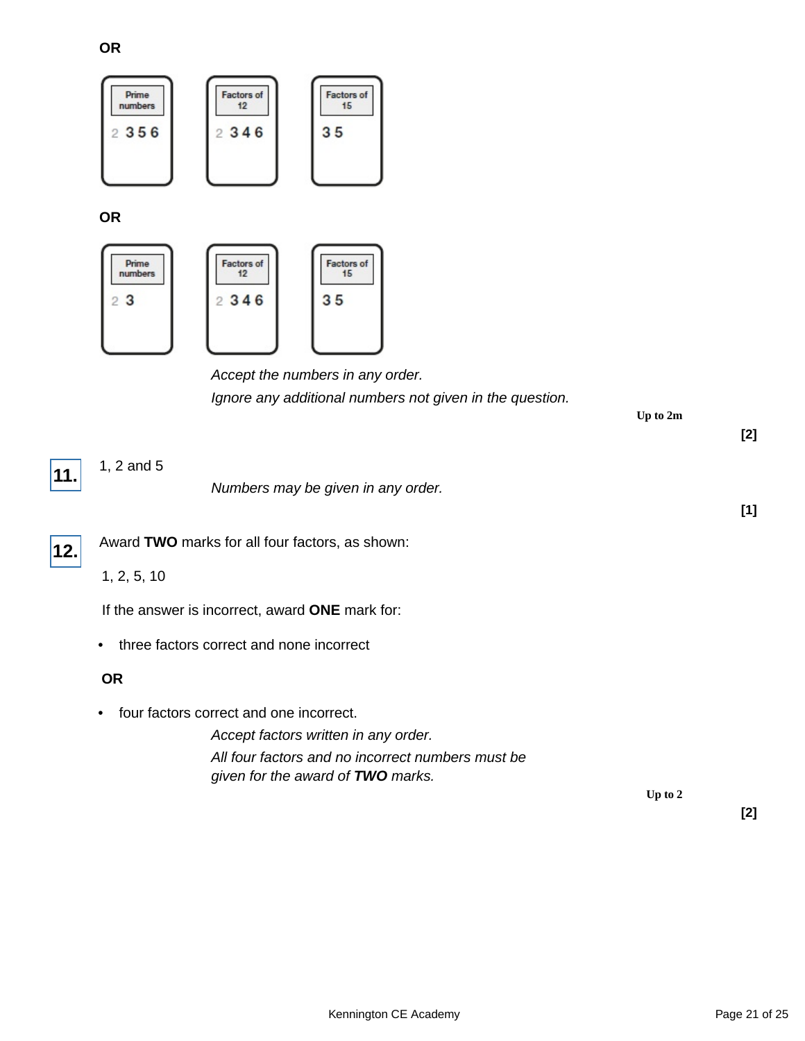**OR**



**OR**



## Accept the numbers in any order. Ignore any additional numbers not given in the question.

**Up to 2m**

**[2]** 1, 2 and 5 Numbers may be given in any order. **[1] 11.** Award **TWO** marks for all four factors, as shown: 1, 2, 5, 10 If the answer is incorrect, award **ONE** mark for: • three factors correct and none incorrect **12. OR** • four factors correct and one incorrect. Accept factors written in any order. All four factors and no incorrect numbers must be given for the award of **TWO** marks.

**Up to 2**

**[2]**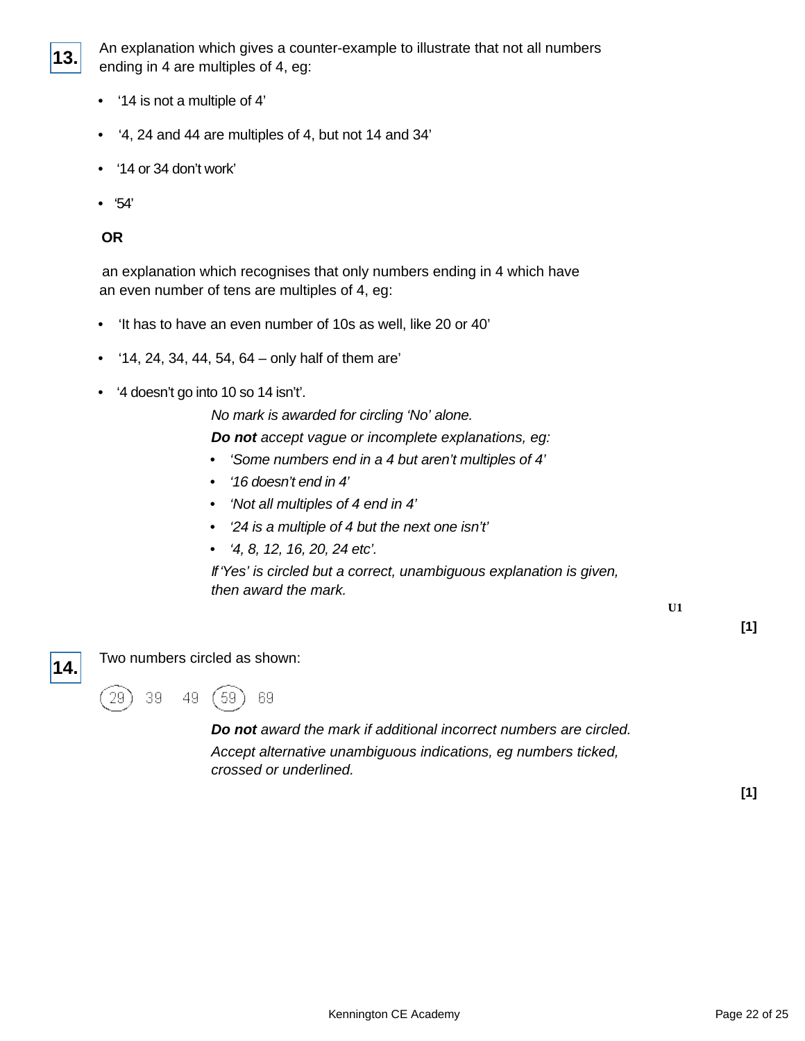

An explanation which gives a counter-example to illustrate that not all numbers ending in 4 are multiples of 4, eg:

- '14 is not a multiple of 4'
- '4, 24 and 44 are multiples of 4, but not 14 and 34'
- '14 or 34 don't work'
- '54'

#### **OR**

 an explanation which recognises that only numbers ending in 4 which have an even number of tens are multiples of 4, eg:

- 'It has to have an even number of 10s as well, like 20 or 40'
- '14, 24, 34, 44, 54, 64 only half of them are'
- '4 doesn't go into 10 so 14 isn't'.

No mark is awarded for circling 'No' alone.

**Do not** accept vague or incomplete explanations, eg:

- 'Some numbers end in a 4 but aren't multiples of 4'
- '16 doesn't end in 4'
- 'Not all multiples of 4 end in 4'
- '24 is a multiple of 4 but the next one isn't'
- '4, 8, 12, 16, 20, 24 etc'.

If 'Yes' is circled but a correct, unambiguous explanation is given, then award the mark.

**U1**

**[1]**



Two numbers circled as shown:



**Do not** award the mark if additional incorrect numbers are circled. Accept alternative unambiguous indications, eg numbers ticked, crossed or underlined.

**[1]**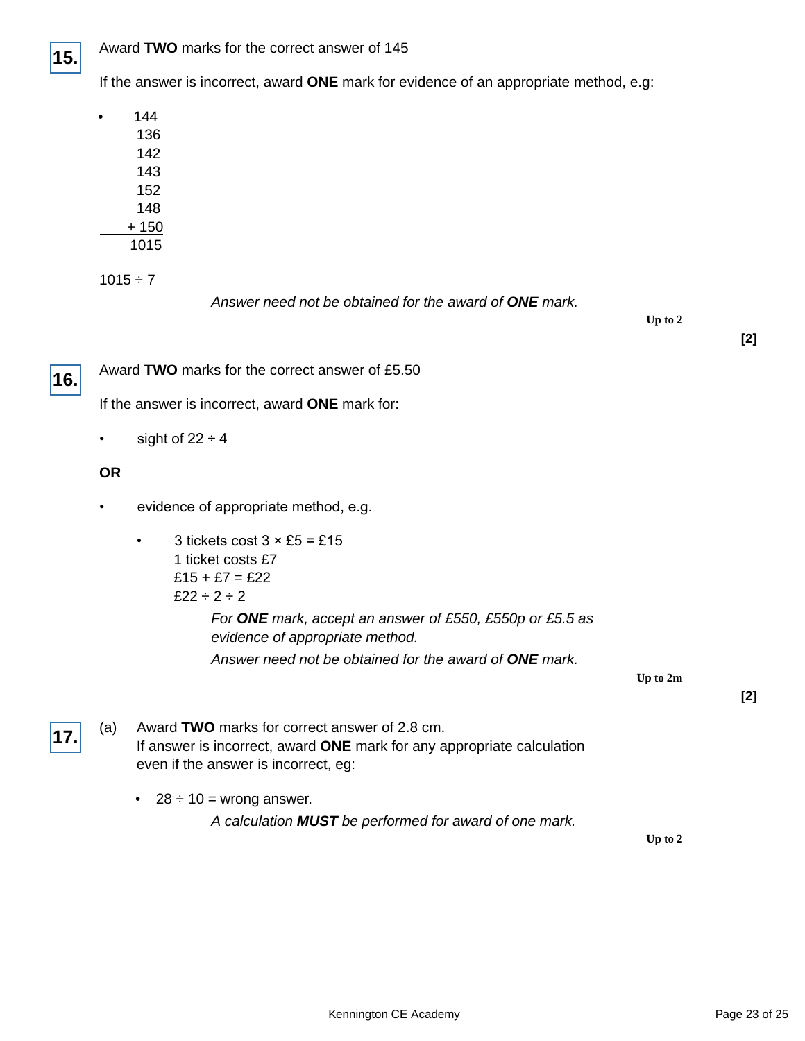

If the answer is incorrect, award **ONE** mark for evidence of an appropriate method, e.g:

| 144   |
|-------|
| 136   |
| 142   |
| 143   |
| 152   |
| 148   |
| + 150 |
| 1015  |
|       |

 $1015 \div 7$ 

Answer need not be obtained for the award of **ONE** mark.

**Up to 2**

**[2]**



Award **TWO** marks for the correct answer of £5.50

If the answer is incorrect, award **ONE** mark for:

• sight of  $22 \div 4$ 

### **OR**

- evidence of appropriate method, e.g.
	- 3 tickets cost  $3 \times £5 = £15$ 1 ticket costs £7  $£15 + £7 = £22$ £22  $\div$  2  $\div$  2

For **ONE** mark, accept an answer of £550, £550p or £5.5 as evidence of appropriate method.

Answer need not be obtained for the award of **ONE** mark.

**Up to 2m**

**[2]**

- (a) Award **TWO** marks for correct answer of 2.8 cm. If answer is incorrect, award **ONE** mark for any appropriate calculation even if the answer is incorrect, eg: **17.**
	- $28 \div 10 =$  wrong answer. A calculation **MUST** be performed for award of one mark.

**Up to 2**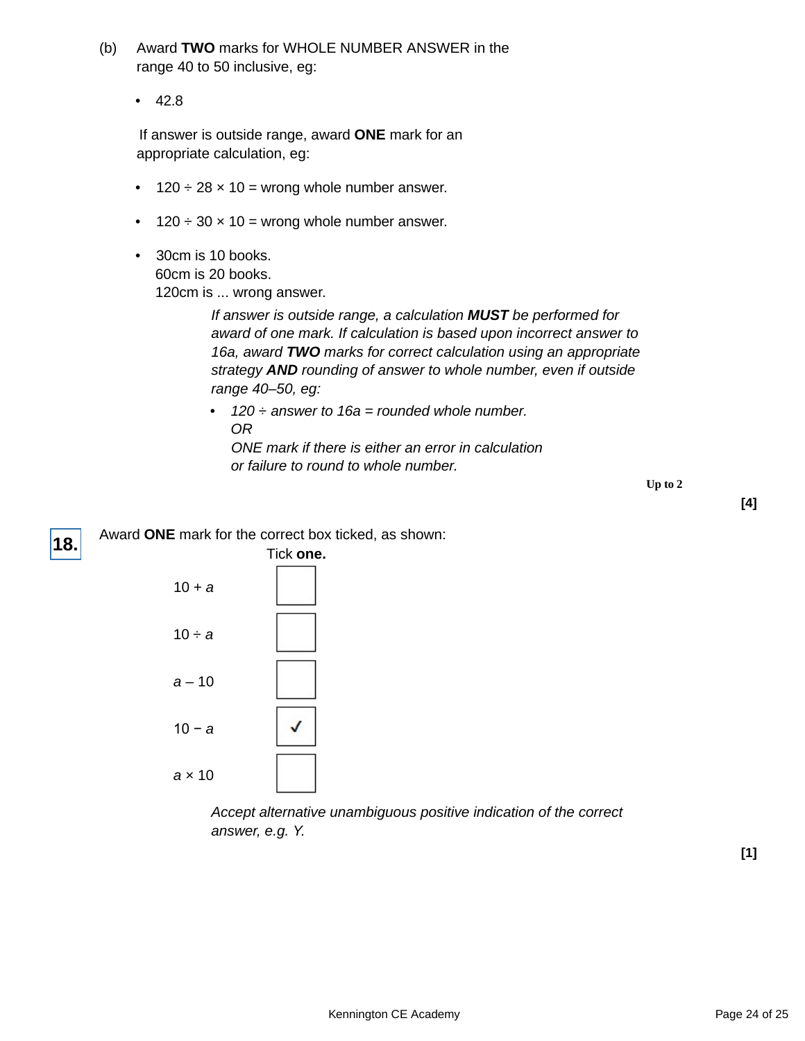- (b) Award **TWO** marks for WHOLE NUMBER ANSWER in the range 40 to 50 inclusive, eg:
	- 42.8

 If answer is outside range, award **ONE** mark for an appropriate calculation, eg:

- $120 \div 28 \times 10 =$  wrong whole number answer.
- $120 \div 30 \times 10 =$  wrong whole number answer.
- 30cm is 10 books. 60cm is 20 books. 120cm is ... wrong answer.

If answer is outside range, a calculation **MUST** be performed for award of one mark. If calculation is based upon incorrect answer to 16a, award **TWO** marks for correct calculation using an appropriate strategy **AND** rounding of answer to whole number, even if outside range 40–50, eg:

- 120  $\div$  answer to 16a = rounded whole number. OR ONE mark if there is either an error in calculation
	- or failure to round to whole number.

**Up to 2**



Accept alternative unambiguous positive indication of the correct answer, e.g. Y.

**[1]**

**[4]**